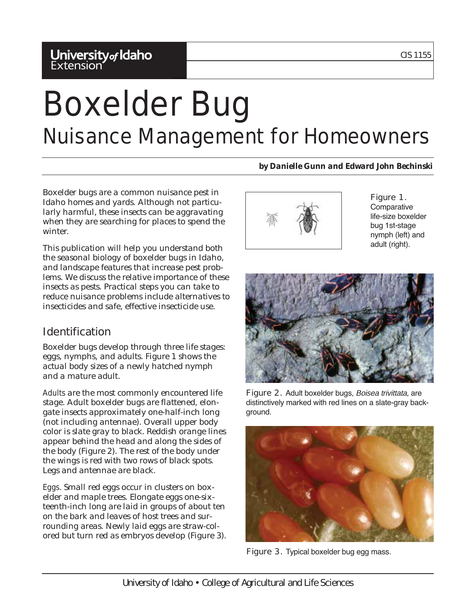## **University<sub>of</sub> Idaho**<br>Extension

# Boxelder Bug Nuisance Management for Homeowners

*by Danielle Gunn and Edward John Bechinski*

Boxelder bugs are a common nuisance pest in Idaho homes and yards. Although not particularly harmful, these insects can be aggravating when they are searching for places to spend the winter.

This publication will help you understand both the seasonal biology of boxelder bugs in Idaho, and landscape features that increase pest problems. We discuss the relative importance of these insects as pests. Practical steps you can take to reduce nuisance problems include alternatives to insecticides and safe, effective insecticide use.

## Identification

Boxelder bugs develop through three life stages: eggs, nymphs, and adults. Figure 1 shows the actual body sizes of a newly hatched nymph and a mature adult.

*Adults* are the most commonly encountered life stage. Adult boxelder bugs are flattened, elongate insects approximately one-half-inch long (not including antennae). Overall upper body color is slate gray to black. Reddish orange lines appear behind the head and along the sides of the body (Figure 2). The rest of the body under the wings is red with two rows of black spots. Legs and antennae are black.

*Eggs*. Small red eggs occur in clusters on boxelder and maple trees. Elongate eggs one-sixteenth-inch long are laid in groups of about ten on the bark and leaves of host trees and surrounding areas. Newly laid eggs are straw-colored but turn red as embryos develop (Figure 3).



#### Figure 1. **Comparative** life-size boxelder bug 1st-stage nymph (left) and adult (right).



Figure 2. Adult boxelder bugs, Boisea trivittata, are distinctively marked with red lines on a slate-gray background.



Figure 3. Typical boxelder bug egg mass.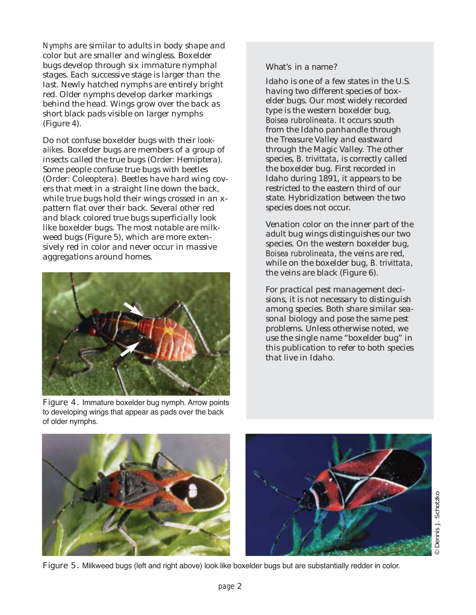*Nymphs* are similar to adults in body shape and color but are smaller and wingless. Boxelder bugs develop through six immature nymphal stages. Each successive stage is larger than the last. Newly hatched nymphs are entirely bright red. Older nymphs develop darker markings behind the head. Wings grow over the back as short black pads visible on larger nymphs (Figure 4).

Do not confuse boxelder bugs with their *lookalikes*. Boxelder bugs are members of a group of insects called the true bugs (Order: Hemiptera). Some people confuse true bugs with beetles (Order: Coleoptera). Beetles have hard wing covers that meet in a straight line down the back, while true bugs hold their wings crossed in an xpattern flat over their back. Several other red and black colored true bugs superficially look like boxelder bugs. The most notable are milkweed bugs (Figure 5), which are more extensively red in color and never occur in massive aggregations around homes.



Figure 4. Immature boxelder bug nymph. Arrow points to developing wings that appear as pads over the back of older nymphs.

### What's in a name?

Idaho is one of a few states in the U.S. having two different species of boxelder bugs. Our most widely recorded type is the western boxelder bug, *Boisea rubrolineata*. It occurs south from the Idaho panhandle through the Treasure Valley and eastward through the Magic Valley. The other species, *B. trivittata*, is correctly called the boxelder bug. First recorded in Idaho during 1891, it appears to be restricted to the eastern third of our state. Hybridization between the two species does not occur.

Venation color on the inner part of the adult bug wings distinguishes our two species. On the western boxelder bug, *Boisea rubrolineata*, the veins are red, while on the boxelder bug, *B. trivittata*, the veins are black (Figure 6).

For practical pest management decisions, it is not necessary to distinguish among species. Both share similar seasonal biology and pose the same pest problems. Unless otherwise noted, we use the single name "boxelder bug" in this publication to refer to both species that live in Idaho.



Figure 5. Milkweed bugs (left and right above) look like boxelder bugs but are substantially redder in color.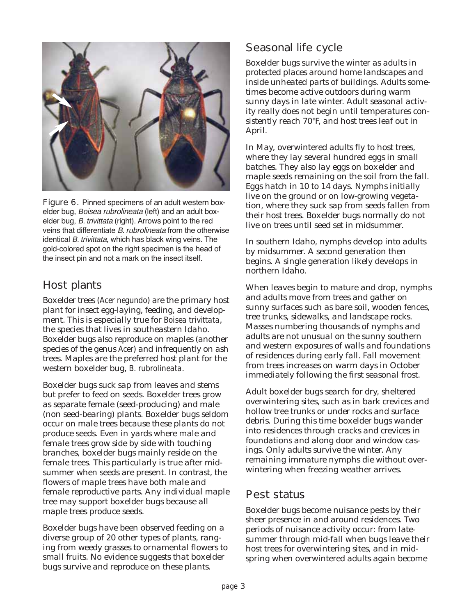

Figure 6. Pinned specimens of an adult western boxelder bug, Boisea rubrolineata (left) and an adult boxelder bug, B. trivittata (right). Arrows point to the red veins that differentiate B. rubrolineata from the otherwise identical B. trivittata, which has black wing veins. The gold-colored spot on the right specimen is the head of the insect pin and not a mark on the insect itself.

## Host plants

Boxelder trees (*Acer negundo*) are the primary host plant for insect egg-laying, feeding, and development. This is especially true for *Boisea trivittata*, the species that lives in southeastern Idaho. Boxelder bugs also reproduce on maples (another species of the genus *Acer*) and infrequently on ash trees. Maples are the preferred host plant for the western boxelder bug, *B. rubrolineata*.

Boxelder bugs suck sap from leaves and stems but prefer to feed on seeds. Boxelder trees grow as separate female (seed-producing) and male (non seed-bearing) plants. Boxelder bugs seldom occur on male trees because these plants do not produce seeds. Even in yards where male and female trees grow side by side with touching branches, boxelder bugs mainly reside on the female trees. This particularly is true after midsummer when seeds are present. In contrast, the flowers of maple trees have both male and female reproductive parts. Any individual maple tree may support boxelder bugs because all maple trees produce seeds.

Boxelder bugs have been observed feeding on a diverse group of 20 other types of plants, ranging from weedy grasses to ornamental flowers to small fruits. No evidence suggests that boxelder bugs survive and reproduce on these plants.

## Seasonal life cycle

Boxelder bugs survive the winter as adults in protected places around home landscapes and inside unheated parts of buildings. Adults sometimes become active outdoors during warm sunny days in late winter. Adult seasonal activity really does not begin until temperatures consistently reach 70°F, and host trees leaf out in April.

In May, overwintered adults fly to host trees, where they lay several hundred eggs in small batches. They also lay eggs on boxelder and maple seeds remaining on the soil from the fall. Eggs hatch in 10 to 14 days. Nymphs initially live on the ground or on low-growing vegetation, where they suck sap from seeds fallen from their host trees. Boxelder bugs normally do not live on trees until seed set in midsummer.

In southern Idaho, nymphs develop into adults by midsummer. A second generation then begins. A single generation likely develops in northern Idaho.

When leaves begin to mature and drop, nymphs and adults move from trees and gather on sunny surfaces such as bare soil, wooden fences, tree trunks, sidewalks, and landscape rocks. Masses numbering thousands of nymphs and adults are not unusual on the sunny southern and western exposures of walls and foundations of residences during early fall. Fall movement from trees increases on warm days in October immediately following the first seasonal frost.

Adult boxelder bugs search for dry, sheltered overwintering sites, such as in bark crevices and hollow tree trunks or under rocks and surface debris. During this time boxelder bugs wander into residences through cracks and crevices in foundations and along door and window casings. Only adults survive the winter. Any remaining immature nymphs die without overwintering when freezing weather arrives.

## Pest status

Boxelder bugs become nuisance pests by their sheer presence in and around residences. Two periods of nuisance activity occur: from latesummer through mid-fall when bugs leave their host trees for overwintering sites, and in midspring when overwintered adults again become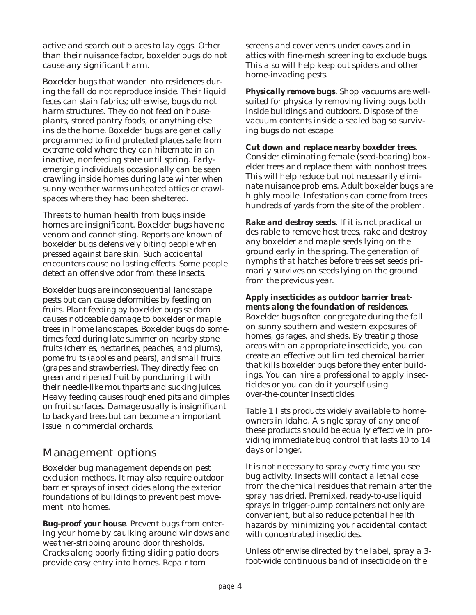active and search out places to lay eggs. Other than their nuisance factor, boxelder bugs do not cause any significant harm.

Boxelder bugs that wander into residences during the fall do not reproduce inside. Their liquid feces can stain fabrics; otherwise, bugs do not harm structures. They do not feed on houseplants, stored pantry foods, or anything else inside the home. Boxelder bugs are genetically programmed to find protected places safe from extreme cold where they can hibernate in an inactive, nonfeeding state until spring. Earlyemerging individuals occasionally can be seen crawling inside homes during late winter when sunny weather warms unheated attics or crawlspaces where they had been sheltered.

Threats to human health from bugs inside homes are insignificant. Boxelder bugs have no venom and cannot sting. Reports are known of boxelder bugs defensively biting people when pressed against bare skin. Such accidental encounters cause no lasting effects. Some people detect an offensive odor from these insects.

Boxelder bugs are inconsequential landscape pests but can cause deformities by feeding on fruits. Plant feeding by boxelder bugs seldom causes noticeable damage to boxelder or maple trees in home landscapes. Boxelder bugs do sometimes feed during late summer on nearby stone fruits (cherries, nectarines, peaches, and plums), pome fruits (apples and pears), and small fruits (grapes and strawberries). They directly feed on green and ripened fruit by puncturing it with their needle-like mouthparts and sucking juices. Heavy feeding causes roughened pits and dimples on fruit surfaces. Damage usually is insignificant to backyard trees but can become an important issue in commercial orchards.

## Management options

Boxelder bug management depends on pest exclusion methods. It may also require outdoor barrier sprays of insecticides along the exterior foundations of buildings to prevent pest movement into homes.

*Bug-proof your house*. Prevent bugs from entering your home by caulking around windows and weather-stripping around door thresholds. Cracks along poorly fitting sliding patio doors provide easy entry into homes. Repair torn

screens and cover vents under eaves and in attics with fine-mesh screening to exclude bugs. This also will help keep out spiders and other home-invading pests.

*Physically remove bugs*. Shop vacuums are wellsuited for physically removing living bugs both inside buildings and outdoors. Dispose of the vacuum contents inside a sealed bag so surviving bugs do not escape.

*Cut down and replace nearby boxelder trees*. Consider eliminating female (seed-bearing) boxelder trees and replace them with nonhost trees. This will help reduce but not necessarily eliminate nuisance problems. Adult boxelder bugs are highly mobile. Infestations can come from trees hundreds of yards from the site of the problem.

*Rake and destroy seeds*. If it is not practical or desirable to remove host trees, rake and destroy any boxelder and maple seeds lying on the ground early in the spring. The generation of nymphs that hatches before trees set seeds primarily survives on seeds lying on the ground from the previous year.

*Apply insecticides as outdoor barrier treatments along the foundation of residences*. Boxelder bugs often congregate during the fall on sunny southern and western exposures of homes, garages, and sheds. By treating those areas with an appropriate insecticide, you can create an effective but limited chemical barrier that kills boxelder bugs before they enter buildings. You can hire a professional to apply insecticides or you can do it yourself using over-the-counter insecticides.

Table 1 lists products widely available to homeowners in Idaho. A single spray of any one of these products should be equally effective in providing immediate bug control that lasts 10 to 14 days or longer.

It is not necessary to spray every time you see bug activity. Insects will contact a lethal dose from the chemical residues that remain after the spray has dried. Premixed, ready-to-use liquid sprays in trigger-pump containers not only are convenient, but also reduce potential health hazards by minimizing your accidental contact with concentrated insecticides.

Unless otherwise directed by the label, spray a 3 foot-wide continuous band of insecticide on the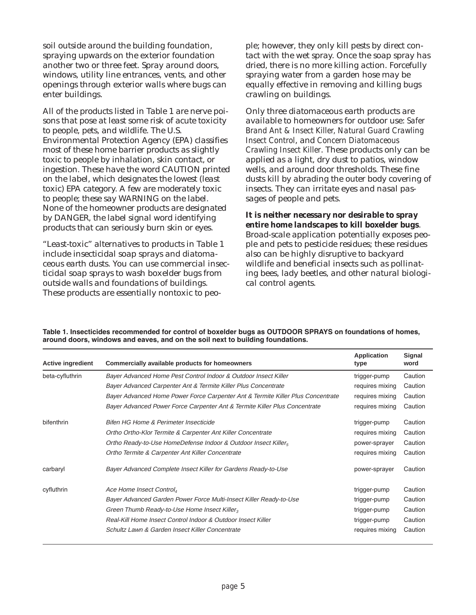soil outside around the building foundation, spraying upwards on the exterior foundation another two or three feet. Spray around doors, windows, utility line entrances, vents, and other openings through exterior walls where bugs can enter buildings.

All of the products listed in Table 1 are nerve poisons that pose at least some risk of acute toxicity to people, pets, and wildlife. The U.S. Environmental Protection Agency (EPA) classifies most of these home barrier products as slightly toxic to people by inhalation, skin contact, or ingestion. These have the word CAUTION printed on the label, which designates the lowest (least toxic) EPA category. A few are moderately toxic to people; these say WARNING on the label. None of the homeowner products are designated by DANGER, the label signal word identifying products that can seriously burn skin or eyes.

"Least-toxic" alternatives to products in Table 1 include insecticidal soap sprays and diatomaceous earth dusts. You can use commercial insecticidal soap sprays to wash boxelder bugs from outside walls and foundations of buildings. These products are essentially nontoxic to people; however, they only kill pests by direct contact with the wet spray. Once the soap spray has dried, there is no more killing action. Forcefully spraying water from a garden hose may be equally effective in removing and killing bugs crawling on buildings.

Only three diatomaceous earth products are available to homeowners for outdoor use: *Safer Brand Ant & Insect Killer, Natural Guard Crawling Insect Control*, and *Concern Diatomaceous Crawling Insect Killer*. These products only can be applied as a light, dry dust to patios, window wells, and around door thresholds. These fine dusts kill by abrading the outer body covering of insects. They can irritate eyes and nasal passages of people and pets.

*It is neither necessary nor desirable to spray entire home landscapes to kill boxelder bugs*. Broad-scale application potentially exposes people and pets to pesticide residues; these residues also can be highly disruptive to backyard wildlife and beneficial insects such as pollinating bees, lady beetles, and other natural biological control agents.

| <b>Active ingredient</b> | Commercially available products for homeowners                                  | <b>Application</b><br>type | Signal<br>word |
|--------------------------|---------------------------------------------------------------------------------|----------------------------|----------------|
| beta-cyfluthrin          | Bayer Advanced Home Pest Control Indoor & Outdoor Insect Killer                 | trigger-pump               | Caution        |
|                          | Bayer Advanced Carpenter Ant & Termite Killer Plus Concentrate                  | requires mixing            | Caution        |
|                          | Bayer Advanced Home Power Force Carpenter Ant & Termite Killer Plus Concentrate | requires mixing            | Caution        |
|                          | Bayer Advanced Power Force Carpenter Ant & Termite Killer Plus Concentrate      | requires mixing            | Caution        |
| bifenthrin               | Bifen HG Home & Perimeter Insecticide                                           | trigger-pump               | Caution        |
|                          | Ortho Ortho-Klor Termite & Carpenter Ant Killer Concentrate                     | requires mixing            | Caution        |
|                          | Ortho Ready-to-Use HomeDefense Indoor & Outdoor Insect Killers                  | power-sprayer              | Caution        |
|                          | Ortho Termite & Carpenter Ant Killer Concentrate                                | requires mixing            | Caution        |
| carbaryl                 | Bayer Advanced Complete Insect Killer for Gardens Ready-to-Use                  | power-sprayer              | Caution        |
| cyfluthrin               | Ace Home Insect Control                                                         | trigger-pump               | Caution        |
|                          | Bayer Advanced Garden Power Force Multi-Insect Killer Ready-to-Use              | trigger-pump               | Caution        |
|                          | Green Thumb Ready-to-Use Home Insect Killer,                                    | trigger-pump               | Caution        |
|                          | Real-Kill Home Insect Control Indoor & Outdoor Insect Killer                    | trigger-pump               | Caution        |
|                          | Schultz Lawn & Garden Insect Killer Concentrate                                 | requires mixing            | Caution        |

**Table 1. Insecticides recommended for control of boxelder bugs as OUTDOOR SPRAYS on foundations of homes, around doors, windows and eaves, and on the soil next to building foundations.**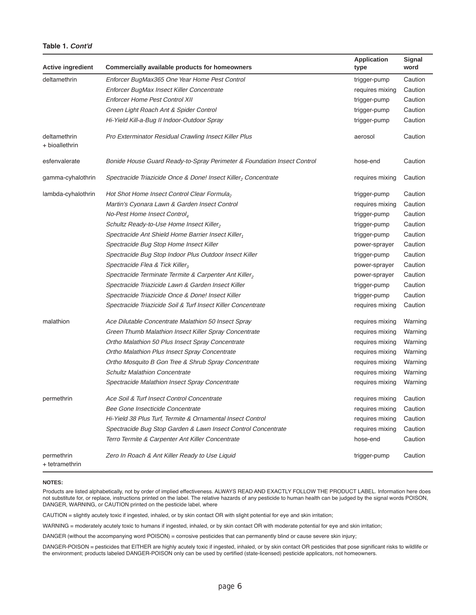#### **Table 1. Cont'd**

| <b>Active ingredient</b>       | Commercially available products for homeowners                          | <b>Application</b><br>type | <b>Signal</b><br>word |
|--------------------------------|-------------------------------------------------------------------------|----------------------------|-----------------------|
| deltamethrin                   | Enforcer BugMax365 One Year Home Pest Control                           | trigger-pump               | Caution               |
|                                | Enforcer BugMax Insect Killer Concentrate                               | requires mixing            | Caution               |
|                                | <b>Enforcer Home Pest Control XII</b>                                   | trigger-pump               | Caution               |
|                                | Green Light Roach Ant & Spider Control                                  | trigger-pump               | Caution               |
|                                | Hi-Yield Kill-a-Bug II Indoor-Outdoor Spray                             | trigger-pump               | Caution               |
| deltamethrin<br>+ bioallethrin | Pro Exterminator Residual Crawling Insect Killer Plus                   | aerosol                    | Caution               |
| esfenvalerate                  | Bonide House Guard Ready-to-Spray Perimeter & Foundation Insect Control | hose-end                   | Caution               |
| gamma-cyhalothrin              | Spectracide Triazicide Once & Done! Insect Killer, Concentrate          | requires mixing            | Caution               |
| lambda-cyhalothrin             | Hot Shot Home Insect Control Clear Formula,                             | trigger-pump               | Caution               |
|                                | Martin's Cyonara Lawn & Garden Insect Control                           | requires mixing            | Caution               |
|                                | No-Pest Home Insect Control <sub>4</sub>                                | trigger-pump               | Caution               |
|                                | Schultz Ready-to-Use Home Insect Killer,                                | trigger-pump               | Caution               |
|                                | Spectracide Ant Shield Home Barrier Insect Killer,                      | trigger-pump               | Caution               |
|                                | Spectracide Bug Stop Home Insect Killer                                 | power-sprayer              | Caution               |
|                                | Spectracide Bug Stop Indoor Plus Outdoor Insect Killer                  | trigger-pump               | Caution               |
|                                | Spectracide Flea & Tick Killer <sub>3</sub>                             | power-sprayer              | Caution               |
|                                | Spectracide Terminate Termite & Carpenter Ant Killer,                   | power-sprayer              | Caution               |
|                                | Spectracide Triazicide Lawn & Garden Insect Killer                      | trigger-pump               | Caution               |
|                                | Spectracide Triazicide Once & Done! Insect Killer                       | trigger-pump               | Caution               |
|                                | Spectracide Triazicide Soil & Turf Insect Killer Concentrate            | requires mixing            | Caution               |
| malathion                      | Ace Dilutable Concentrate Malathion 50 Insect Spray                     | requires mixing            | Warning               |
|                                | Green Thumb Malathion Insect Killer Spray Concentrate                   | requires mixing            | Warning               |
|                                | Ortho Malathion 50 Plus Insect Spray Concentrate                        | requires mixing            | Warning               |
|                                | Ortho Malathion Plus Insect Spray Concentrate                           | requires mixing            | Warning               |
|                                | Ortho Mosquito B Gon Tree & Shrub Spray Concentrate                     | requires mixing            | Warning               |
|                                | <b>Schultz Malathion Concentrate</b>                                    | requires mixing            | Warning               |
|                                | Spectracide Malathion Insect Spray Concentrate                          | requires mixing            | Warning               |
| permethrin                     | Ace Soil & Turf Insect Control Concentrate                              | requires mixing            | Caution               |
|                                | Bee Gone Insecticide Concentrate                                        | requires mixing            | Caution               |
|                                | Hi-Yield 38 Plus Turf, Termite & Ornamental Insect Control              | requires mixing            | Caution               |
|                                | Spectracide Bug Stop Garden & Lawn Insect Control Concentrate           | requires mixing            | Caution               |
|                                | Terro Termite & Carpenter Ant Killer Concentrate                        | hose-end                   | Caution               |
| permethrin<br>+ tetramethrin   | Zero In Roach & Ant Killer Ready to Use Liquid                          | trigger-pump               | Caution               |

#### **NOTES:**

Products are listed alphabetically, not by order of implied effectiveness. ALWAYS READ AND EXACTLY FOLLOW THE PRODUCT LABEL. Information here does not substitute for, or replace, instructions printed on the label. The relative hazards of any pesticide to human health can be judged by the signal words POISON, DANGER, WARNING, or CAUTION printed on the pesticide label, where

CAUTION = slightly acutely toxic if ingested, inhaled, or by skin contact OR with slight potential for eye and skinirritation;

WARNING = moderately acutely toxic to humans if ingested, inhaled, or by skin contact OR with moderate potential for eye and skin irritation;

DANGER (without the accompanying word POISON) = corrosive pesticides that can permanently blind or cause severe skin injury;

DANGER-POISON = pesticides that EITHER are highly acutely toxic if ingested, inhaled, or by skin contact OR pesticides that pose significant risks to wildlife or the environment; products labeled DANGER-POISON only can be used by certified (state-licensed) pesticide applicators, not homeowners.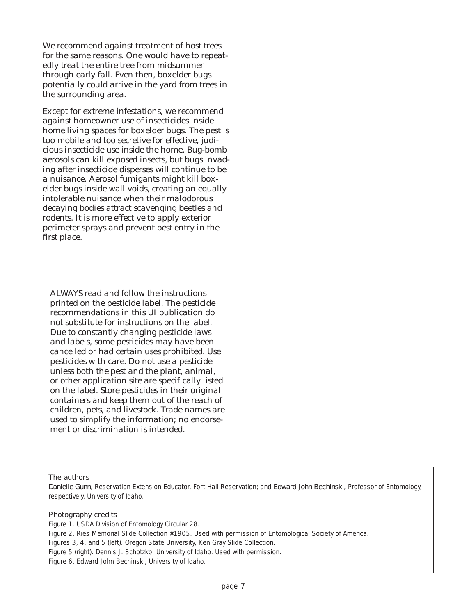We recommend against treatment of host trees for the same reasons. One would have to repeatedly treat the entire tree from midsummer through early fall. Even then, boxelder bugs potentially could arrive in the yard from trees in the surrounding area.

Except for extreme infestations, we recommend against homeowner use of insecticides inside home living spaces for boxelder bugs. The pest is too mobile and too secretive for effective, judicious insecticide use inside the home. Bug-bomb aerosols can kill exposed insects, but bugs invading after insecticide disperses will continue to be a nuisance. Aerosol fumigants might kill boxelder bugs inside wall voids, creating an equally intolerable nuisance when their malodorous decaying bodies attract scavenging beetles and rodents. It is more effective to apply exterior perimeter sprays and prevent pest entry in the first place.

ALWAYS read and follow the instructions printed on the pesticide label. The pesticide recommendations in this UI publication do not substitute for instructions on the label. Due to constantly changing pesticide laws and labels, some pesticides may have been cancelled or had certain uses prohibited. Use pesticides with care. Do not use a pesticide unless both the pest and the plant, animal, or other application site are specifically listed on the label. Store pesticides in their original containers and keep them out of the reach of children, pets, and livestock. Trade names are used to simplify the information; no endorsement or discrimination is intended.

#### The authors

Danielle Gunn, Reservation Extension Educator, Fort Hall Reservation; and Edward John Bechinski, Professor of Entomology, respectively, University of Idaho.

#### Photography credits

Figure 1. USDA Division of Entomology Circular 28. Figure 2. Ries Memorial Slide Collection #1905. Used with permission of Entomological Society of America. Figures 3, 4, and 5 (left). Oregon State University, Ken Gray Slide Collection. Figure 5 (right). Dennis J. Schotzko, University of Idaho. Used with permission. Figure 6. Edward John Bechinski, University of Idaho.